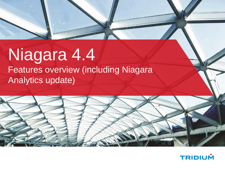## Niagara 4.4 Features overview (including Niagara Analytics update)



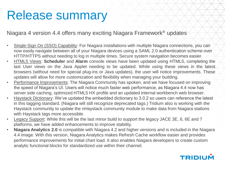# Release summary

#### Niagara 4 version 4.4 offers many exciting Niagara Framework® updates

- Single-Sign On (SSO) Capability: For Niagara installations with multiple Niagara connections, you can now easily navigate between all of your Niagara devices using a SAML 2.0 authentication scheme over HTTP/HTTPS without needing to log in multiple times. Secure system navigation becomes easier.
- HTML5 Views: **Scheduler** and **Alarm** console views have been updated using HTML5, completing the last User views on the Java Applet needing to be updated. While using these views in the latest browsers (without need for special plug-ins or Java updates), the user will notice improvements. These updates will allow for more customization and flexibility when managing your building.
- Performance Improvements: The Niagara Community has spoken, and we have focused on improving the speed of Niagara's UI. Users will notice much faster web performance, as Niagara 4.4 now has server side caching, optimized HTML5 HX profile and an updated internal workbench web browser.
- Haystack Dictionary: We've updated the embedded dictionary to 3.0.2 so users can reference the latest in this tagging standard. (Niagara will still recognize deprecated tags.) Tridium also is working with the Haystack community to update the nHaystack community module to make data from Niagara stations with Haystack tags more accessible.
- Legacy Support: While this will be the last minor build to support the legacy JACE 3E, 6, 6E and 7 platforms, we have added enhancements to improve stability.
- **Niagara Analytics 2.0** is compatible with Niagara 4.2 and higher versions and is included in the Niagara 4.4 image. With this version, Niagara Analytics makes Refresh Cache workflow easier and provides performance improvements for initial chart load. It also enables Niagara developers to create custom analytic functional blocks for standardized use within their channel.

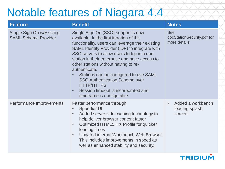### Notable features of Niagara 4.4

| <b>Feature</b>                                           | <b>Benefit</b>                                                                                                                                                                                                                                                                                                                                                                                                                                                                                                                                         | <b>Notes</b>                                             |
|----------------------------------------------------------|--------------------------------------------------------------------------------------------------------------------------------------------------------------------------------------------------------------------------------------------------------------------------------------------------------------------------------------------------------------------------------------------------------------------------------------------------------------------------------------------------------------------------------------------------------|----------------------------------------------------------|
| Single Sign On w/Existing<br><b>SAML Scheme Provider</b> | Single Sign On (SSO) support is now<br>available. In the first iteration of this<br>functionality, users can leverage their existing<br>SAML Identity Provider (IDP) to integrate with<br>SSO servers to allow users to log into one<br>station in their enterprise and have access to<br>other stations without having to re-<br>authenticate.<br>Stations can be configured to use SAML<br>$\bullet$<br><b>SSO Authentication Scheme over</b><br><b>HTTP/HTTPS</b><br>Session timeout is incorporated and<br>$\bullet$<br>timeframe is configurable. | <b>See</b><br>docStationSecurity.pdf for<br>more details |
| Performance Improvements                                 | Faster performance through:<br><b>Speedier UI</b><br>$\bullet$<br>Added server side caching technology to<br>$\bullet$<br>help deliver browser content faster<br>Optimized HTML5 HX Profile for quicker<br>$\bullet$<br>loading times<br>Updated internal Workbench Web Browser.<br>$\bullet$<br>This includes improvements in speed as<br>well as enhanced stability and security.                                                                                                                                                                    | Added a workbench<br>loading splash<br>screen            |

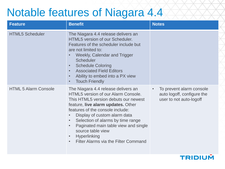### Notable features of Niagara 4.4

| <b>Feature</b>              | <b>Benefit</b>                                                                                                                                                                                                                                                                                                                                                                                                                                          | <b>Notes</b>                                                                                   |
|-----------------------------|---------------------------------------------------------------------------------------------------------------------------------------------------------------------------------------------------------------------------------------------------------------------------------------------------------------------------------------------------------------------------------------------------------------------------------------------------------|------------------------------------------------------------------------------------------------|
| <b>HTML5 Scheduler</b>      | The Niagara 4.4 release delivers an<br><b>HTML5</b> version of our Scheduler.<br>Features of the scheduler include but<br>are not limited to:<br><b>Weekly, Calendar and Trigger</b><br>$\bullet$<br><b>Scheduler</b><br><b>Schedule Coloring</b><br>$\bullet$<br><b>Associated Field Editors</b><br>$\bullet$<br>Ability to embed into a PX view<br>$\bullet$<br><b>Touch Friendly</b><br>$\bullet$                                                    |                                                                                                |
| <b>HTML 5 Alarm Console</b> | The Niagara 4.4 release delivers an<br>HTML5 version of our Alarm Console.<br>This HTML5 version debuts our newest<br>feature, live alarm updates. Other<br>features of the console include:<br>Display of custom alarm data<br>$\bullet$<br>Selection of alarms by time range<br>$\bullet$<br>Paginated main table view and single<br>$\bullet$<br>source table view<br>Hyperlinking<br>$\bullet$<br>Filter Alarms via the Filter Command<br>$\bullet$ | To prevent alarm console<br>$\bullet$<br>auto logoff, configure the<br>user to not auto-logoff |

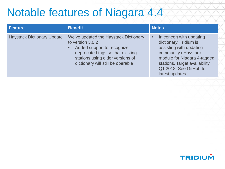### Notable features of Niagara 4.4

| <b>Feature</b>                    | <b>Benefit</b>                                                                                                                                                                                       | <b>Notes</b>                                                                                                                                                                                                                    |
|-----------------------------------|------------------------------------------------------------------------------------------------------------------------------------------------------------------------------------------------------|---------------------------------------------------------------------------------------------------------------------------------------------------------------------------------------------------------------------------------|
| <b>Haystack Dictionary Update</b> | We've updated the Haystack Dictionary<br>to version 3.0.2<br>Added support to recognize<br>deprecated tags so that existing<br>stations using older versions of<br>dictionary will still be operable | In concert with updating<br>$\bullet$<br>dictionary, Tridium is<br>assisting with updating<br>community nHaystack<br>module for Niagara 4-tagged<br>stations. Target availability<br>Q1 2018. See GitHub for<br>latest updates. |

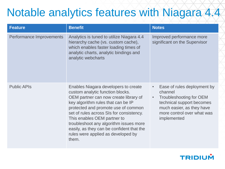## Notable analytics features with Niagara 4.4

| <b>Feature</b>           | <b>Benefit</b>                                                                                                                                                                                                                                                                                                                                                                                                  | <b>Notes</b>                                                                                                                                                                                       |
|--------------------------|-----------------------------------------------------------------------------------------------------------------------------------------------------------------------------------------------------------------------------------------------------------------------------------------------------------------------------------------------------------------------------------------------------------------|----------------------------------------------------------------------------------------------------------------------------------------------------------------------------------------------------|
| Performance Improvements | Analytics is tuned to utilize Niagara 4.4<br>hierarchy cache (vs. custom cache),<br>which enables faster loading times of<br>analytic charts, analytic bindings and<br>analytic webcharts                                                                                                                                                                                                                       | Improved performance more<br>significant on the Supervisor                                                                                                                                         |
| <b>Public APIs</b>       | Enables Niagara developers to create<br>custom analytic function blocks.<br>OEM partner can now create library of<br>key algorithm rules that can be IP<br>protected and promote use of common<br>set of rules across SIs for consistency.<br>This enables OEM partner to<br>troubleshoot any algorithm issues more<br>easily, as they can be confident that the<br>rules were applied as developed by<br>them. | Ease of rules deployment by<br>$\bullet$<br>channel<br>Troubleshooting for OEM<br>$\bullet$<br>technical support becomes<br>much easier, as they have<br>more control over what was<br>implemented |